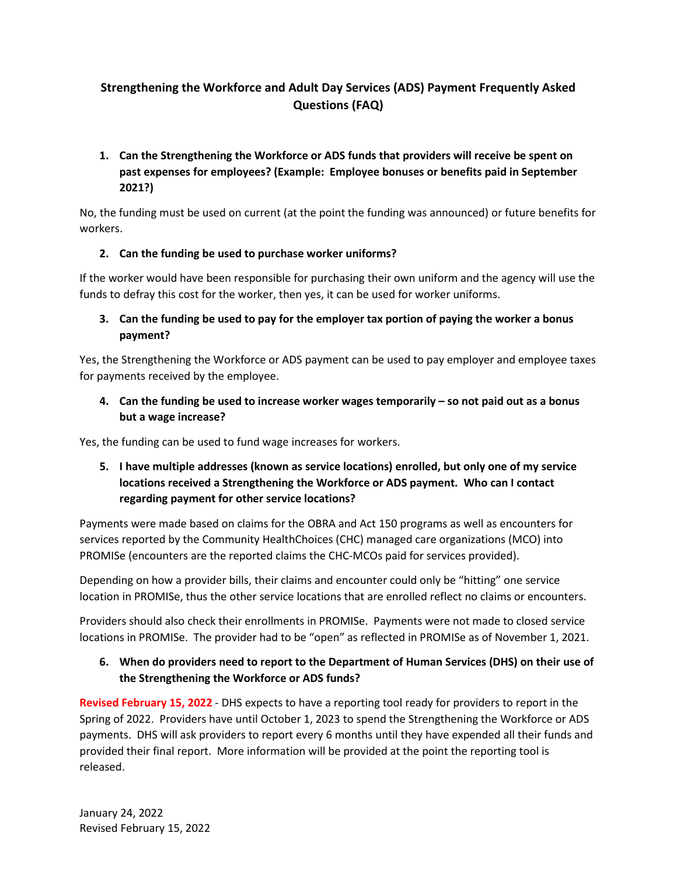# **Strengthening the Workforce and Adult Day Services (ADS) Payment Frequently Asked Questions (FAQ)**

## **1. Can the Strengthening the Workforce or ADS funds that providers will receive be spent on past expenses for employees? (Example: Employee bonuses or benefits paid in September 2021?)**

No, the funding must be used on current (at the point the funding was announced) or future benefits for workers.

### **2. Can the funding be used to purchase worker uniforms?**

If the worker would have been responsible for purchasing their own uniform and the agency will use the funds to defray this cost for the worker, then yes, it can be used for worker uniforms.

### **3. Can the funding be used to pay for the employer tax portion of paying the worker a bonus payment?**

Yes, the Strengthening the Workforce or ADS payment can be used to pay employer and employee taxes for payments received by the employee.

## **4. Can the funding be used to increase worker wages temporarily – so not paid out as a bonus but a wage increase?**

Yes, the funding can be used to fund wage increases for workers.

## **5. I have multiple addresses (known as service locations) enrolled, but only one of my service locations received a Strengthening the Workforce or ADS payment. Who can I contact regarding payment for other service locations?**

Payments were made based on claims for the OBRA and Act 150 programs as well as encounters for services reported by the Community HealthChoices (CHC) managed care organizations (MCO) into PROMISe (encounters are the reported claims the CHC-MCOs paid for services provided).

Depending on how a provider bills, their claims and encounter could only be "hitting" one service location in PROMISe, thus the other service locations that are enrolled reflect no claims or encounters.

Providers should also check their enrollments in PROMISe. Payments were not made to closed service locations in PROMISe. The provider had to be "open" as reflected in PROMISe as of November 1, 2021.

## **6. When do providers need to report to the Department of Human Services (DHS) on their use of the Strengthening the Workforce or ADS funds?**

**Revised February 15, 2022** - DHS expects to have a reporting tool ready for providers to report in the Spring of 2022. Providers have until October 1, 2023 to spend the Strengthening the Workforce or ADS payments. DHS will ask providers to report every 6 months until they have expended all their funds and provided their final report. More information will be provided at the point the reporting tool is released.

January 24, 2022 Revised February 15, 2022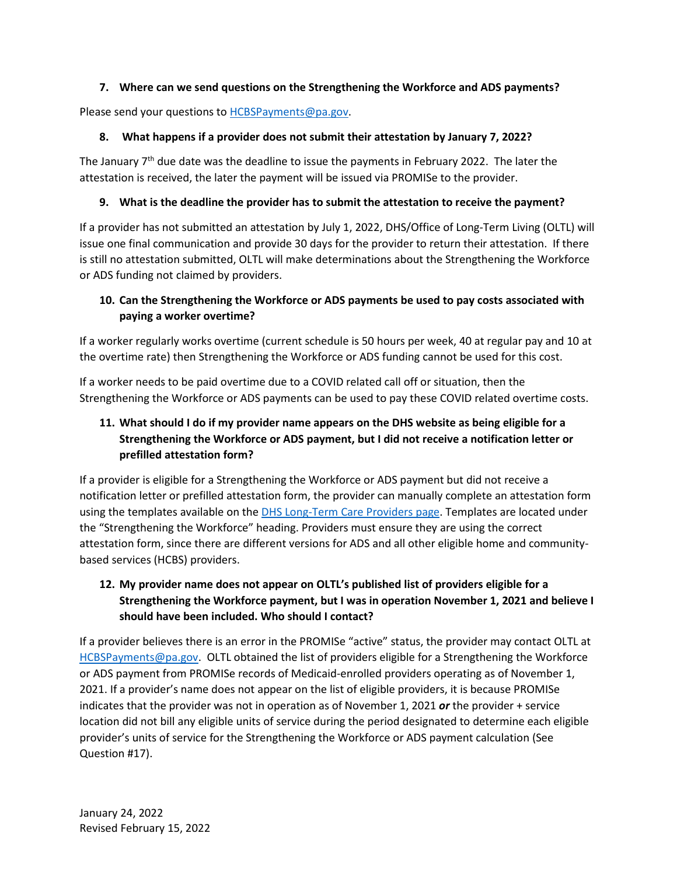### **7. Where can we send questions on the Strengthening the Workforce and ADS payments?**

Please send your questions to **HCBSPayments@pa.gov.** 

### **8. What happens if a provider does not submit their attestation by January 7, 2022?**

The January 7<sup>th</sup> due date was the deadline to issue the payments in February 2022. The later the attestation is received, the later the payment will be issued via PROMISe to the provider.

### **9. What is the deadline the provider has to submit the attestation to receive the payment?**

If a provider has not submitted an attestation by July 1, 2022, DHS/Office of Long-Term Living (OLTL) will issue one final communication and provide 30 days for the provider to return their attestation. If there is still no attestation submitted, OLTL will make determinations about the Strengthening the Workforce or ADS funding not claimed by providers.

# **10. Can the Strengthening the Workforce or ADS payments be used to pay costs associated with paying a worker overtime?**

If a worker regularly works overtime (current schedule is 50 hours per week, 40 at regular pay and 10 at the overtime rate) then Strengthening the Workforce or ADS funding cannot be used for this cost.

If a worker needs to be paid overtime due to a COVID related call off or situation, then the Strengthening the Workforce or ADS payments can be used to pay these COVID related overtime costs.

# **11. What should I do if my provider name appears on the DHS website as being eligible for a Strengthening the Workforce or ADS payment, but I did not receive a notification letter or prefilled attestation form?**

If a provider is eligible for a Strengthening the Workforce or ADS payment but did not receive a notification letter or prefilled attestation form, the provider can manually complete an attestation form using the templates available on th[e DHS Long-Term Care Providers page.](https://www.dhs.pa.gov/providers/Providers/Pages/Long-Term-Care-Providers.aspx) Templates are located under the "Strengthening the Workforce" heading. Providers must ensure they are using the correct attestation form, since there are different versions for ADS and all other eligible home and communitybased services (HCBS) providers.

# **12. My provider name does not appear on OLTL's published list of providers eligible for a Strengthening the Workforce payment, but I was in operation November 1, 2021 and believe I should have been included. Who should I contact?**

If a provider believes there is an error in the PROMISe "active" status, the provider may contact OLTL at [HCBSPayments@pa.gov.](mailto:HCBSPayments@pa.gov) OLTL obtained the list of providers eligible for a Strengthening the Workforce or ADS payment from PROMISe records of Medicaid-enrolled providers operating as of November 1, 2021. If a provider's name does not appear on the list of eligible providers, it is because PROMISe indicates that the provider was not in operation as of November 1, 2021 *or* the provider + service location did not bill any eligible units of service during the period designated to determine each eligible provider's units of service for the Strengthening the Workforce or ADS payment calculation (See Question #17).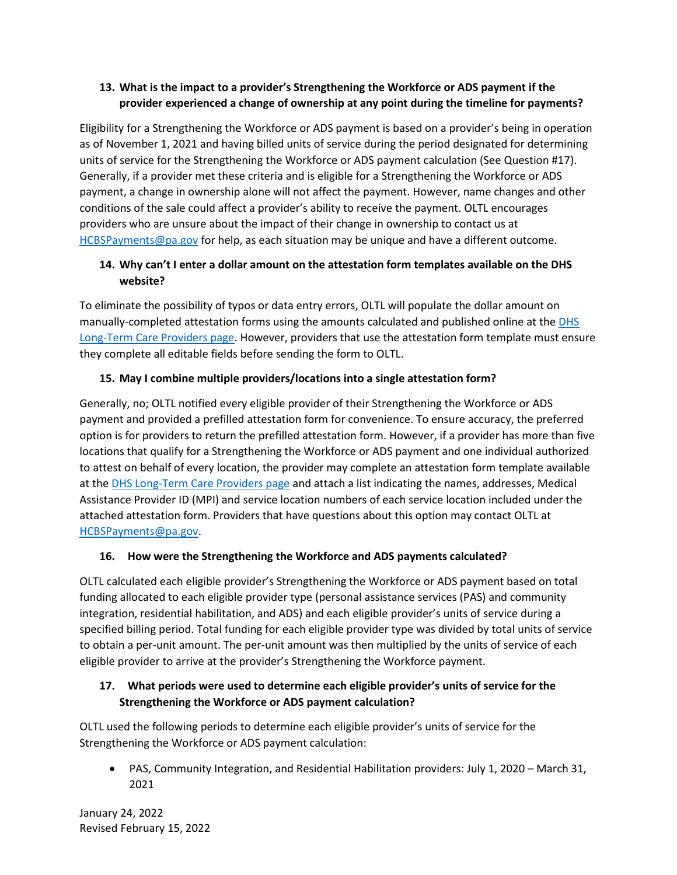## **13. What is the impact to a provider's Strengthening the Workforce or ADS payment if the provider experienced a change of ownership at any point during the timeline for payments?**

Eligibility for a Strengthening the Workforce or ADS payment is based on a provider's being in operation as of November 1, 2021 and having billed units of service during the period designated for determining units of service for the Strengthening the Workforce or ADS payment calculation (See Question #17). Generally, if a provider met these criteria and is eligible for a Strengthening the Workforce or ADS payment, a change in ownership alone will not affect the payment. However, name changes and other conditions of the sale could affect a provider's ability to receive the payment. OLTL encourages providers who are unsure about the impact of their change in ownership to contact us at [HCBSPayments@pa.gov](mailto:HCBSPayments@pa.gov) for help, as each situation may be unique and have a different outcome.

## **14. Why can't I enter a dollar amount on the attestation form templates available on the DHS website?**

To eliminate the possibility of typos or data entry errors, OLTL will populate the dollar amount on manually-completed attestation forms using the amounts calculated and published online at the DHS [Long-Term Care Providers page.](https://www.dhs.pa.gov/providers/Providers/Pages/Long-Term-Care-Providers.aspx) However, providers that use the attestation form template must ensure they complete all editable fields before sending the form to OLTL.

### **15. May I combine multiple providers/locations into a single attestation form?**

Generally, no; OLTL notified every eligible provider of their Strengthening the Workforce or ADS payment and provided a prefilled attestation form for convenience. To ensure accuracy, the preferred option is for providers to return the prefilled attestation form. However, if a provider has more than five locations that qualify for a Strengthening the Workforce or ADS payment and one individual authorized to attest on behalf of every location, the provider may complete an attestation form template available at the [DHS Long-Term Care Providers page](https://www.dhs.pa.gov/providers/Providers/Pages/Long-Term-Care-Providers.aspx) and attach a list indicating the names, addresses, Medical Assistance Provider ID (MPI) and service location numbers of each service location included under the attached attestation form. Providers that have questions about this option may contact OLTL at [HCBSPayments@pa.gov.](mailto:HCBSPayments@pa.gov)

### **16. How were the Strengthening the Workforce and ADS payments calculated?**

OLTL calculated each eligible provider's Strengthening the Workforce or ADS payment based on total funding allocated to each eligible provider type (personal assistance services (PAS) and community integration, residential habilitation, and ADS) and each eligible provider's units of service during a specified billing period. Total funding for each eligible provider type was divided by total units of service to obtain a per-unit amount. The per-unit amount was then multiplied by the units of service of each eligible provider to arrive at the provider's Strengthening the Workforce payment.

### **17. What periods were used to determine each eligible provider's units of service for the Strengthening the Workforce or ADS payment calculation?**

OLTL used the following periods to determine each eligible provider's units of service for the Strengthening the Workforce or ADS payment calculation:

• PAS, Community Integration, and Residential Habilitation providers: July 1, 2020 – March 31, 2021

January 24, 2022 Revised February 15, 2022